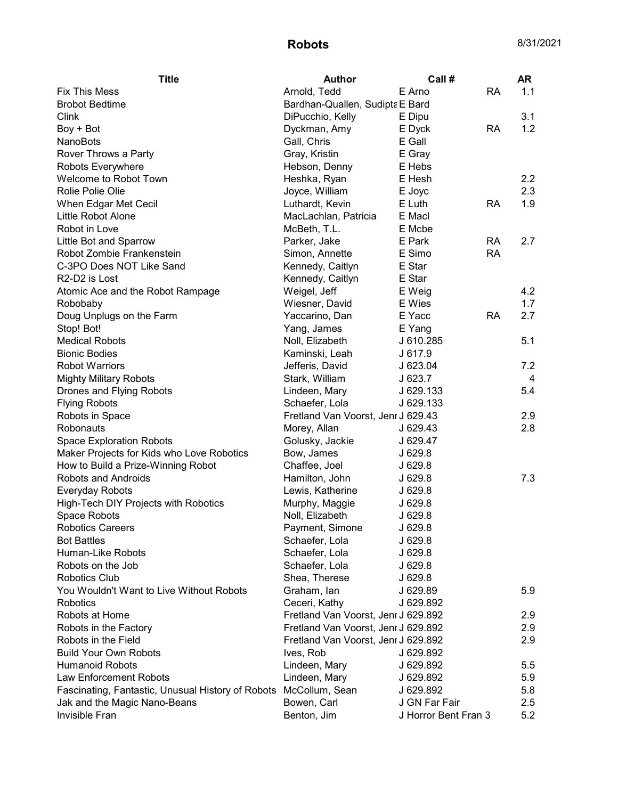| <b>Title</b>                                      | <b>Author</b>                       | Call #               |           | <b>AR</b> |
|---------------------------------------------------|-------------------------------------|----------------------|-----------|-----------|
| <b>Fix This Mess</b>                              | Arnold, Tedd                        | E Arno               | <b>RA</b> | 1.1       |
| <b>Brobot Bedtime</b>                             | Bardhan-Quallen, Sudipta E Bard     |                      |           |           |
| Clink                                             | DiPucchio, Kelly                    | E Dipu               |           | 3.1       |
| Boy + Bot                                         | Dyckman, Amy                        | E Dyck               | <b>RA</b> | 1.2       |
| <b>NanoBots</b>                                   | Gall, Chris                         | E Gall               |           |           |
| Rover Throws a Party                              | Gray, Kristin                       | E Gray               |           |           |
| Robots Everywhere                                 | Hebson, Denny                       | E Hebs               |           |           |
| Welcome to Robot Town                             | Heshka, Ryan                        | E Hesh               |           | 2.2       |
| Rolie Polie Olie                                  | Joyce, William                      | E Joyc               |           | 2.3       |
| When Edgar Met Cecil                              | Luthardt, Kevin                     | E Luth               | RA        | 1.9       |
| Little Robot Alone                                | MacLachlan, Patricia                | E Macl               |           |           |
| Robot in Love                                     | McBeth, T.L.                        | E Mcbe               |           |           |
| Little Bot and Sparrow                            | Parker, Jake                        | E Park               | RA        | 2.7       |
| Robot Zombie Frankenstein                         | Simon, Annette                      | E Simo               | <b>RA</b> |           |
| C-3PO Does NOT Like Sand                          | Kennedy, Caitlyn                    | E Star               |           |           |
| R <sub>2</sub> -D <sub>2</sub> is Lost            | Kennedy, Caitlyn                    | E Star               |           |           |
| Atomic Ace and the Robot Rampage                  | Weigel, Jeff                        | E Weig               |           | 4.2       |
| Robobaby                                          | Wiesner, David                      | E Wies               |           | 1.7       |
| Doug Unplugs on the Farm                          | Yaccarino, Dan                      | E Yacc               | <b>RA</b> | 2.7       |
| Stop! Bot!                                        | Yang, James                         | E Yang               |           |           |
| <b>Medical Robots</b>                             | Noll, Elizabeth                     | J 610.285            |           | 5.1       |
| <b>Bionic Bodies</b>                              | Kaminski, Leah                      | J 617.9              |           |           |
| <b>Robot Warriors</b>                             | Jefferis, David                     | J 623.04             |           | 7.2       |
| <b>Mighty Military Robots</b>                     | Stark, William                      | J 623.7              |           | 4         |
| Drones and Flying Robots                          | Lindeen, Mary                       | J 629.133            |           | 5.4       |
| <b>Flying Robots</b>                              | Schaefer, Lola                      | J 629.133            |           |           |
| Robots in Space                                   | Fretland Van Voorst, Jenr J 629.43  |                      |           | 2.9       |
| Robonauts                                         | Morey, Allan                        | J 629.43             |           | 2.8       |
| <b>Space Exploration Robots</b>                   | Golusky, Jackie                     | J 629.47             |           |           |
| Maker Projects for Kids who Love Robotics         | Bow, James                          | J 629.8              |           |           |
| How to Build a Prize-Winning Robot                | Chaffee, Joel                       | J629.8               |           |           |
| Robots and Androids                               | Hamilton, John                      | J 629.8              |           | 7.3       |
| Everyday Robots                                   | Lewis, Katherine                    | J 629.8              |           |           |
| High-Tech DIY Projects with Robotics              | Murphy, Maggie                      | J 629.8              |           |           |
| Space Robots                                      | Noll, Elizabeth                     | J629.8               |           |           |
| <b>Robotics Careers</b>                           | Payment, Simone                     | J 629.8              |           |           |
| <b>Bot Battles</b>                                | Schaefer, Lola                      | J 629.8              |           |           |
| Human-Like Robots                                 | Schaefer, Lola                      | J 629.8              |           |           |
| Robots on the Job                                 | Schaefer, Lola                      |                      |           |           |
| <b>Robotics Club</b>                              |                                     | J 629.8              |           |           |
|                                                   | Shea, Therese                       | J 629.8              |           |           |
| You Wouldn't Want to Live Without Robots          | Graham, Ian                         | J 629.89             |           | 5.9       |
| Robotics                                          | Ceceri, Kathy                       | J 629.892            |           |           |
| Robots at Home                                    | Fretland Van Voorst, Jenr J 629.892 |                      |           | 2.9       |
| Robots in the Factory                             | Fretland Van Voorst, Jenr J 629.892 |                      |           | 2.9       |
| Robots in the Field                               | Fretland Van Voorst, Jenr J 629.892 |                      |           | 2.9       |
| <b>Build Your Own Robots</b>                      | Ives, Rob                           | J 629.892            |           |           |
| <b>Humanoid Robots</b>                            | Lindeen, Mary                       | J 629.892            |           | 5.5       |
| Law Enforcement Robots                            | Lindeen, Mary                       | J 629.892            |           | 5.9       |
| Fascinating, Fantastic, Unusual History of Robots | McCollum, Sean                      | J 629.892            |           | 5.8       |
| Jak and the Magic Nano-Beans                      | Bowen, Carl                         | J GN Far Fair        |           | 2.5       |
| Invisible Fran                                    | Benton, Jim                         | J Horror Bent Fran 3 |           | 5.2       |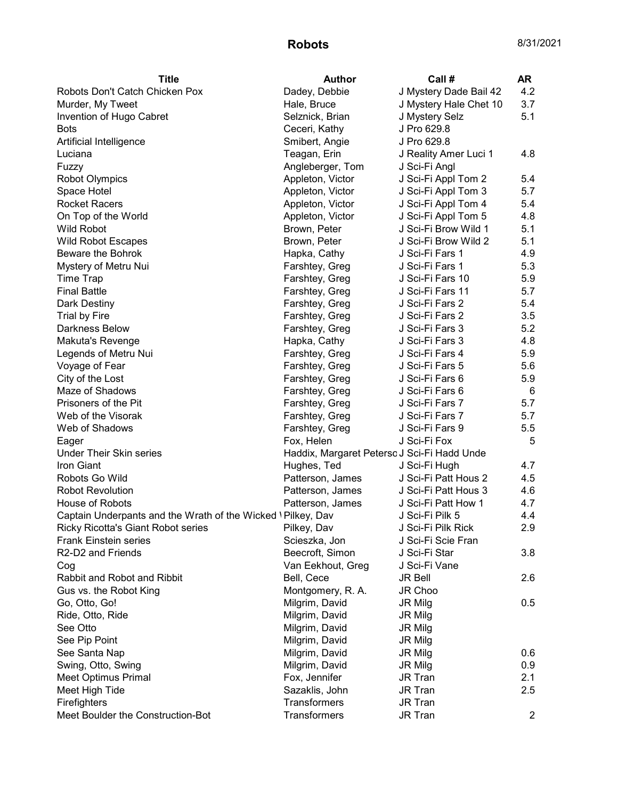## Robots 8/31/2021

| <b>Title</b>                                                | <b>Author</b>                               | Call #                 | AR             |
|-------------------------------------------------------------|---------------------------------------------|------------------------|----------------|
| Robots Don't Catch Chicken Pox                              | Dadey, Debbie                               | J Mystery Dade Bail 42 | 4.2            |
| Murder, My Tweet                                            | Hale, Bruce                                 | J Mystery Hale Chet 10 | 3.7            |
| Invention of Hugo Cabret                                    | Selznick, Brian                             | J Mystery Selz         | 5.1            |
| <b>Bots</b>                                                 | Ceceri, Kathy                               | J Pro 629.8            |                |
| Artificial Intelligence                                     | Smibert, Angie                              | J Pro 629.8            |                |
| Luciana                                                     | Teagan, Erin                                | J Reality Amer Luci 1  | 4.8            |
| Fuzzy                                                       | Angleberger, Tom                            | J Sci-Fi Angl          |                |
| <b>Robot Olympics</b>                                       | Appleton, Victor                            | J Sci-Fi Appl Tom 2    | 5.4            |
| Space Hotel                                                 | Appleton, Victor                            | J Sci-Fi Appl Tom 3    | 5.7            |
| <b>Rocket Racers</b>                                        | Appleton, Victor                            | J Sci-Fi Appl Tom 4    | 5.4            |
| On Top of the World                                         | Appleton, Victor                            | J Sci-Fi Appl Tom 5    | 4.8            |
| Wild Robot                                                  | Brown, Peter                                | J Sci-Fi Brow Wild 1   | 5.1            |
| <b>Wild Robot Escapes</b>                                   | Brown, Peter                                | J Sci-Fi Brow Wild 2   | 5.1            |
| Beware the Bohrok                                           | Hapka, Cathy                                | J Sci-Fi Fars 1        | 4.9            |
| Mystery of Metru Nui                                        | Farshtey, Greg                              | J Sci-Fi Fars 1        | 5.3            |
| <b>Time Trap</b>                                            | Farshtey, Greg                              | J Sci-Fi Fars 10       | 5.9            |
| <b>Final Battle</b>                                         | Farshtey, Greg                              | J Sci-Fi Fars 11       | 5.7            |
| Dark Destiny                                                | Farshtey, Greg                              | J Sci-Fi Fars 2        | 5.4            |
| <b>Trial by Fire</b>                                        | Farshtey, Greg                              | J Sci-Fi Fars 2        | 3.5            |
| <b>Darkness Below</b>                                       | Farshtey, Greg                              | J Sci-Fi Fars 3        | 5.2            |
| Makuta's Revenge                                            | Hapka, Cathy                                | J Sci-Fi Fars 3        | 4.8            |
| Legends of Metru Nui                                        | Farshtey, Greg                              | J Sci-Fi Fars 4        | 5.9            |
| Voyage of Fear                                              | Farshtey, Greg                              | J Sci-Fi Fars 5        | 5.6            |
| City of the Lost                                            | Farshtey, Greg                              | J Sci-Fi Fars 6        | 5.9            |
| Maze of Shadows                                             | Farshtey, Greg                              | J Sci-Fi Fars 6        | 6              |
| Prisoners of the Pit                                        | Farshtey, Greg                              | J Sci-Fi Fars 7        | 5.7            |
| Web of the Visorak                                          | Farshtey, Greg                              | J Sci-Fi Fars 7        | 5.7            |
| Web of Shadows                                              | Farshtey, Greg                              | J Sci-Fi Fars 9        | 5.5            |
| Eager                                                       | Fox, Helen                                  | J Sci-Fi Fox           | 5              |
| <b>Under Their Skin series</b>                              | Haddix, Margaret Peterso J Sci-Fi Hadd Unde |                        |                |
| Iron Giant                                                  | Hughes, Ted                                 | J Sci-Fi Hugh          | 4.7            |
| Robots Go Wild                                              | Patterson, James                            | J Sci-Fi Patt Hous 2   | 4.5            |
| <b>Robot Revolution</b>                                     | Patterson, James                            | J Sci-Fi Patt Hous 3   | 4.6            |
| House of Robots                                             | Patterson, James                            | J Sci-Fi Patt How 1    | 4.7            |
| Captain Underpants and the Wrath of the Wicked \Pilkey, Dav |                                             | J Sci-Fi Pilk 5        | 4.4            |
| Ricky Ricotta's Giant Robot series                          | Pilkey, Dav                                 | J Sci-Fi Pilk Rick     | 2.9            |
| <b>Frank Einstein series</b>                                | Scieszka, Jon                               | J Sci-Fi Scie Fran     |                |
| R2-D2 and Friends                                           | Beecroft, Simon                             | J Sci-Fi Star          | 3.8            |
| Cog                                                         | Van Eekhout, Greg                           | J Sci-Fi Vane          |                |
| Rabbit and Robot and Ribbit                                 | Bell, Cece                                  | JR Bell                | 2.6            |
| Gus vs. the Robot King                                      | Montgomery, R. A.                           | JR Choo                |                |
| Go, Otto, Go!                                               | Milgrim, David                              | <b>JR Milg</b>         | 0.5            |
| Ride, Otto, Ride                                            | Milgrim, David                              | JR Milg                |                |
| See Otto                                                    | Milgrim, David                              | JR Milg                |                |
| See Pip Point                                               | Milgrim, David                              | JR Milg                |                |
| See Santa Nap                                               | Milgrim, David                              | JR Milg                | 0.6            |
| Swing, Otto, Swing                                          | Milgrim, David                              | JR Milg                | 0.9            |
| <b>Meet Optimus Primal</b>                                  | Fox, Jennifer                               | JR Tran                | 2.1            |
| Meet High Tide                                              | Sazaklis, John                              | JR Tran                | 2.5            |
| Firefighters                                                | <b>Transformers</b>                         | JR Tran                |                |
| Meet Boulder the Construction-Bot                           | <b>Transformers</b>                         | JR Tran                | $\overline{2}$ |
|                                                             |                                             |                        |                |